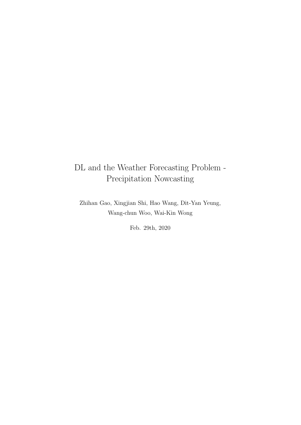# DL and the Weather Forecasting Problem - Precipitation Nowcasting

Zhihan Gao, Xingjian Shi, Hao Wang, Dit-Yan Yeung, Wang-chun Woo, Wai-Kin Wong

Feb. 29th, 2020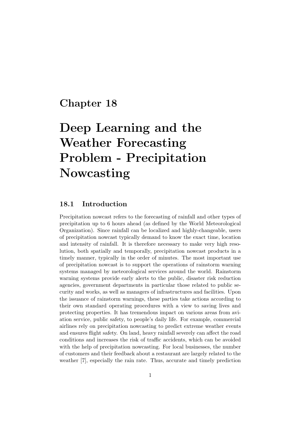# Chapter 18

# Deep Learning and the Weather Forecasting Problem - Precipitation Nowcasting

# 18.1 Introduction

Precipitation nowcast refers to the forecasting of rainfall and other types of precipitation up to 6 hours ahead (as defined by the World Meteorological Organization). Since rainfall can be localized and highly-changeable, users of precipitation nowcast typically demand to know the exact time, location and intensity of rainfall. It is therefore necessary to make very high resolution, both spatially and temporally, precipitation nowcast products in a timely manner, typically in the order of minutes. The most important use of precipitation nowcast is to support the operations of rainstorm warning systems managed by meteorological services around the world. Rainstorm warning systems provide early alerts to the public, disaster risk reduction agencies, government departments in particular those related to public security and works, as well as managers of infrastructures and facilities. Upon the issuance of rainstorm warnings, these parties take actions according to their own standard operating procedures with a view to saving lives and protecting properties. It has tremendous impact on various areas from aviation service, public safety, to people's daily life. For example, commercial airlines rely on precipitation nowcasting to predict extreme weather events and ensures flight safety. On land, heavy rainfall severely can affect the road conditions and increases the risk of traffic accidents, which can be avoided with the help of precipitation nowcasting. For local businesses, the number of customers and their feedback about a restaurant are largely related to the weather [7], especially the rain rate. Thus, accurate and timely prediction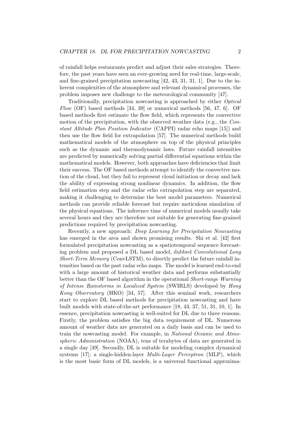of rainfall helps restaurants predict and adjust their sales strategies. Therefore, the past years have seen an ever-growing need for real-time, large-scale, and fine-grained precipitation nowcasting [42, 43, 31, 31, 1]. Due to the inherent complexities of the atmosphere and relevant dynamical processes, the problem imposes new challenge to the meteorological community [47].

Traditionally, precipitation nowcasting is approached by either Optical Flow (OF) based methods [34, 39] or numerical methods [56, 47, 6]. OF based methods first estimate the flow field, which represents the convective motion of the precipitation, with the observed weather data (e.g., the Constant Altitude Plan Position Indicator (CAPPI) radar echo maps [15]) and then use the flow field for extrapolation [57]. The numerical methods build mathematical models of the atmosphere on top of the physical principles such as the dynamic and thermodynamic laws. Future rainfall intensities are predicted by numerically solving partial differential equations within the mathematical models. However, both approaches have deficiencies that limit their success. The OF based methods attempt to identify the convective motion of the cloud, but they fail to represent cloud initiation or decay and lack the ability of expressing strong nonlinear dynamics. In addition, the flow field estimation step and the radar echo extrapolation step are separated, making it challenging to determine the best model parameters. Numerical methods can provide reliable forecast but require meticulous simulation of the physical equations. The inference time of numerical models usually take several hours and they are therefore not suitable for generating fine-grained predictions required by precipitation nowcasting.

Recently, a new approach: Deep Learning for Precipitation Nowcasting has emerged in the area and shown promising results. Shi et al. [42] first formulated precipitation nowcasting as a spatiotemporal sequence forecasting problem and proposed a DL based model, dubbed Convolutional Long Short-Term Memory (ConvLSTM), to directly predict the future rainfall intensities based on the past radar echo maps. The model is learned end-to-end with a large amount of historical weather data and performs substantially better than the OF based algorithm in the operational Short-range Warning of Intense Rainstorms in Localized System (SWIRLS) developed by Hong Kong Observatory (HKO) [34, 57]. After this seminal work, researchers start to explore DL based methods for precipitation nowcasting and have built models with state-of-the-art performance [18, 43, 37, 51, 31, 10, 1]. In essence, precipitation nowcasting is well-suited for DL due to three reasons. Firstly, the problem satisfies the big data requirement of DL. Numerous amount of weather data are generated on a daily basis and can be used to train the nowcasting model. For example, in National Oceanic and Atmospheric Administration (NOAA), tens of terabytes of data are generated in a single day [49]. Secondly, DL is suitable for modeling complex dynamical systems  $[17]$ ; a single-hidden-layer *Multi-Layer Perceptron* (MLP), which is the most basic form of DL models, is a universal functional approxima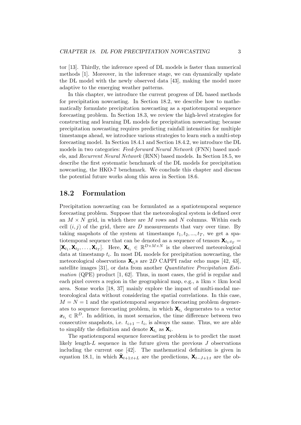tor [13]. Thirdly, the inference speed of DL models is faster than numerical methods [1]. Moreover, in the inference stage, we can dynamically update the DL model with the newly observed data [43], making the model more adaptive to the emerging weather patterns.

In this chapter, we introduce the current progress of DL based methods for precipitation nowcasting. In Section 18.2, we describe how to mathematically formulate precipitation nowcasting as a spatiotemporal sequence forecasting problem. In Section 18.3, we review the high-level strategies for constructing and learning DL models for precipitation nowcasting; because precipitation nowcasting requires predicting rainfall intensities for multiple timestamps ahead, we introduce various strategies to learn such a multi-step forecasting model. In Section 18.4.1 and Section 18.4.2, we introduce the DL models in two categories: Feed-forward Neural Network (FNN) based models, and Recurrent Neural Network (RNN) based models. In Section 18.5, we describe the first systematic benchmark of the DL models for precipitation nowcasting, the HKO-7 benchmark. We conclude this chapter and discuss the potential future works along this area in Section 18.6.

# 18.2 Formulation

Precipitation nowcasting can be formulated as a spatiotemporal sequence forecasting problem. Suppose that the meteorological system is defined over an  $M \times N$  grid, in which there are M rows and N columns. Within each cell  $(i, j)$  of the grid, there are D measurements that vary over time. By taking snapshots of the system at timestamps  $t_1, t_2, ..., t_T$ , we get a spatiotemporal sequence that can be denoted as a sequence of tensors  $\mathbf{X}_{t_1:t_T} =$  $[\mathbf{X}_{t_1}, \mathbf{X}_{t_2}, \dots, \mathbf{X}_{t_T}]$ . Here,  $\mathbf{X}_{t_i} \in \mathbb{R}^{D \times M \times N}$  is the observed meteorological data at timestamp  $t_i$ . In most DL models for precipitation nowcasting, the meteorological observations  $\mathbf{X}_{t_i}$ s are 2D CAPPI radar echo maps [42, 43], satellite images [31], or data from another Quantitative Precipitation Esti*mation* (QPE) product  $[1, 62]$ . Thus, in most cases, the grid is regular and each pixel covers a region in the geographical map, e.g., a  $1 \text{km} \times 1 \text{km}$  local area. Some works [18, 37] mainly explore the impact of multi-modal meteorological data without considering the spatial correlations. In this case,  $M = N = 1$  and the spatiotemporal sequence forecasting problem degenerates to sequence forecasting problem, in which  $\mathbf{X}_{t_i}$  degenerates to a vector  $x_{t_i} \in \mathbb{R}^D$ . In addition, in most scenarios, the time difference between two consecutive snapshots, i.e.  $t_{i+1} - t_i$ , is always the same. Thus, we are able to simplify the definition and denote  $\mathbf{X}_{t_i}$  as  $\mathbf{X}_i$ .

The spatiotemporal sequence forecasting problem is to predict the most likely length- $L$  sequence in the future given the previous  $J$  observations including the current one [42]. The mathematical definition is given in equation 18.1, in which  $\tilde{\mathbf{X}}_{t+1:t+L}$  are the predictions,  $\mathbf{X}_{t-J+1:t}$  are the ob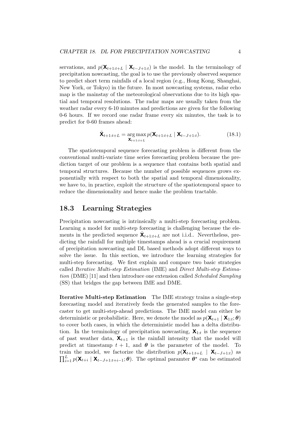servations, and  $p(\mathbf{X}_{t+1:t+L} | \mathbf{X}_{t-J+1:t})$  is the model. In the terminology of precipitation nowcasting, the goal is to use the previously observed sequence to predict short term rainfalls of a local region (e.g., Hong Kong, Shanghai, New York, or Tokyo) in the future. In most nowcasting systems, radar echo map is the mainstay of the meteorological observations due to its high spatial and temporal resolutions. The radar maps are usually taken from the weather radar every 6-10 minutes and predictions are given for the following 0-6 hours. If we record one radar frame every six minutes, the task is to predict for 0-60 frames ahead:

$$
\tilde{\mathbf{X}}_{t+1:t+L} = \underset{\mathbf{X}_{t+1:t+L}}{\arg \max} p(\mathbf{X}_{t+1:t+L} | \mathbf{X}_{t-J+1:t}). \tag{18.1}
$$

The spatiotemporal sequence forecasting problem is different from the conventional multi-variate time series forecasting problem because the prediction target of our problem is a sequence that contains both spatial and temporal structures. Because the number of possible sequences grows exponentially with respect to both the spatial and temporal dimensionality, we have to, in practice, exploit the structure of the spatiotemporal space to reduce the dimensionality and hence make the problem tractable.

# 18.3 Learning Strategies

Precipitation nowcasting is intrinsically a multi-step forecasting problem. Learning a model for multi-step forecasting is challenging because the elements in the predicted sequence  $\hat{\mathbf{X}}_{t+1:t+L}$  are not i.i.d.. Nevertheless, predicting the rainfall for multiple timestamps ahead is a crucial requirement of precipitation nowcasting and DL based methods adopt different ways to solve the issue. In this section, we introduce the learning strategies for multi-step forecasting. We first explain and compare two basic strategies called Iterative Multi-step Estimation (IME) and Direct Multi-step Estimation (DME) [11] and then introduce one extension called *Scheduled Sampling* (SS) that bridges the gap between IME and DME.

Iterative Multi-step Estimation The IME strategy trains a single-step forecasting model and iteratively feeds the generated samples to the forecaster to get multi-step-ahead predictions. The IME model can either be deterministic or probabilistic. Here, we denote the model as  $p(\mathbf{X}_{t+1} | \mathbf{X}_{1:t}; \theta)$ to cover both cases, in which the deterministic model has a delta distribution. In the terminology of precipitation nowcasting,  $\mathbf{X}_{1:t}$  is the sequence of past weather data,  $\mathbf{X}_{t+1}$  is the rainfall intensity that the model will predict at timestamp  $t + 1$ , and  $\theta$  is the parameter of the model. To train the model, we factorize the distribution  $p(\mathbf{X}_{t+1:t+L} | \mathbf{X}_{t-J+1:t})$  as  $\prod_{i=1}^{L} p(\mathbf{X}_{t+i} | \mathbf{X}_{t-J+1:t+i-1}; \theta)$ . The optimal paramter  $\theta^*$  can be estimated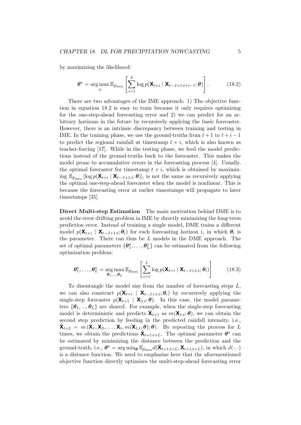by maximizing the likelihood:

$$
\boldsymbol{\theta}^{\star} = \arg \max_{\phi} \mathbb{E}_{\hat{p}_{\text{data}}} \left[ \sum_{i=1}^{L} \log p(\mathbf{X}_{t+i} \mid \mathbf{X}_{t-J+1:t+i-1}; \boldsymbol{\theta}) \right]. \tag{18.2}
$$

There are two advantages of the IME approach: 1) The objective function in equation 18.2 is easy to train because it only requires optimizing for the one-step-ahead forecasting error and 2) we can predict for an arbitrary horizons in the future by recursively applying the basic forecaster. However, there is an intrinsic discrepancy between training and testing in IME. In the training phase, we use the ground-truths from  $t + 1$  to  $t + i - 1$ to predict the regional rainfall at timestamp  $t + i$ , which is also known as teacher-forcing [17]. While in the testing phase, we feed the model predictions instead of the ground-truths back to the forecaster. This makes the model prone to accumulative errors in the forecasting process [4]. Usually, the optimal forecaster for timestamp  $t + i$ , which is obtained by maximizing  $\mathbb{E}_{\hat{p}_{data}}\left[\log p(\mathbf{X}_{t+i} | \mathbf{X}_{t-J+1:t}; \theta)\right]$ , is not the same as recursively applying the optimal one-step-ahead forecaster when the model is nonlinear. This is because the forecasting error at earlier timestamps will propagate to later timestamps [35].

Direct Multi-step Estimation The main motivation behind DME is to avoid the error drifting problem in IME by directly minimizing the long-term prediction error. Instead of training a single model, DME trains a different model  $p(\mathbf{X}_{t+i} | \mathbf{X}_{t-J+1:t}; \theta_i)$  for each forecasting horizon *i*, in which  $\theta_i$  is the parameter. There can thus be L models in the DME approach. The set of optimal parameters  $\{\boldsymbol{\theta}_1^{\star}, \ldots, \boldsymbol{\theta}_L^{\star}\}$  can be estimated from the following optimization problem:

$$
\boldsymbol{\theta}_{1}^{\star}, \ldots, \boldsymbol{\theta}_{L}^{\star} = \arg_{\boldsymbol{\theta}_{1}, \ldots, \boldsymbol{\theta}_{L}} \mathbb{E}_{\hat{p}_{data}} \left[ \sum_{i=1}^{L} \log p(\mathbf{X}_{t+i} \mid \mathbf{X}_{t-J+1:t}; \boldsymbol{\theta}_{i}) \right]
$$
(18.3)

To disentangle the model size from the number of forecasting steps  $L$ , we can also construct  $p(\mathbf{X}_{t+i} \mid \mathbf{X}_{t-J+1:t}; \theta_i)$  by recursively applying the single-step forecaster  $p(\mathbf{X}_{t+1} | \mathbf{X}_{1:t}; \theta)$ . In this case, the model parameters  $\{\boldsymbol{\theta}_1, ..., \boldsymbol{\theta}_L\}$  are shared. For example, when the single-step forecasting model is deterministic and predicts  $\tilde{\mathbf{X}}_{t+1}$  as  $m(\mathbf{X}_{1:t}; \theta)$ , we can obtain the second step prediction by feeding in the predicted rainfall intensity, i.e.,  $\tilde{\mathbf{X}}_{t+2} = m(\mathbf{X}_1, \mathbf{X}_2, \dots, \mathbf{X}_t, m(\mathbf{X}_{1:t}; \theta); \theta)$ . By repeating the process for L times, we obtain the predictions  $\tilde{\mathbf{X}}_{t+1:t+L}$ . The optimal parameter  $\boldsymbol{\theta}^*$  can be estimated by minimizing the distance between the prediction and the ground-truth, i.e.,  $\boldsymbol{\theta}^* = \arg \min_{\boldsymbol{\theta}} \mathbb{E}_{\hat{p}_{data}} d(\tilde{\mathbf{X}}_{t+1:t+L}, \mathbf{X}_{t+1:t+L}),$  in which  $d(\cdot, \cdot)$ is a distance function. We need to emphasize here that the aforementioned objective function directly optimizes the multi-step-ahead forecasting error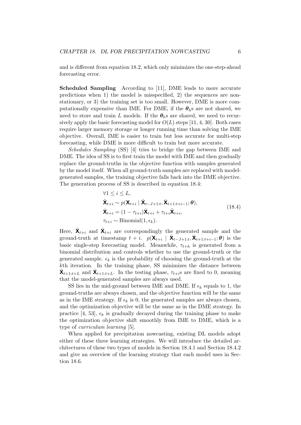and is different from equation 18.2, which only minimizes the one-step-ahead forecasting error.

Scheduled Sampling According to [11], DME leads to more accurate predictions when 1) the model is misspecified, 2) the sequences are nonstationary, or 3) the training set is too small. However, DME is more computationally expensive than IME. For DME, if the  $\theta_{b}$ s are not shared, we need to store and train L models. If the  $\theta_h$ s are shared, we need to recursively apply the basic forecasting model for  $O(L)$  steps [11, 4, 30]. Both cases require larger memory storage or longer running time than solving the IME objective. Overall, IME is easier to train but less accurate for multi-step forecasting, while DME is more difficult to train but more accurate.

Schedules Sampling (SS) [4] tries to bridge the gap between IME and DME. The idea of SS is to first train the model with IME and then gradually replace the ground-truths in the objective function with samples generated by the model itself. When all ground-truth samples are replaced with modelgenerated samples, the training objective falls back into the DME objective. The generation process of SS is described in equation 18.4:

$$
\forall 1 \leq i \leq L,\n\tilde{\mathbf{X}}_{t+i} \sim p(\mathbf{X}_{t+i} | \hat{\mathbf{X}}_{t-J+1:t}, \bar{\mathbf{X}}_{t+1:t+i-1}; \theta),\n\tilde{\mathbf{X}}_{t+i} = (1 - \tau_{t+i})\hat{\mathbf{X}}_{t+i} + \tau_{t+i}\tilde{\mathbf{X}}_{t+i},\n\tau_{t+i} \sim \text{Binomial}(1, \epsilon_k).
$$
\n(18.4)

Here,  $\tilde{\mathbf{X}}_{t+i}$  and  $\hat{\mathbf{X}}_{t+i}$  are correspondingly the generated sample and the ground-truth at timestamp  $t + i$ .  $p(\mathbf{X}_{t+i} | \hat{\mathbf{X}}_{t-J+1:t}, \bar{\mathbf{X}}_{t+1:t+i-1}; \boldsymbol{\theta})$  is the basic single-step forecasting model. Meanwhile,  $\tau_{t+h}$  is generated from a binomial distribution and controls whether to use the ground-truth or the generated sample.  $\epsilon_k$  is the probability of choosing the ground-truth at the kth iteration. In the training phase, SS minimizes the distance between  $\tilde{\mathbf{X}}_{t+1:t+L}$  and  $\hat{\mathbf{X}}_{t+1:t+L}$ . In the testing phase,  $\tau_{t+i}$ s are fixed to 0, meaning that the model-generated samples are always used.

SS lies in the mid-ground between IME and DME. If  $\epsilon_k$  equals to 1, the ground-truths are always chosen, and the objective function will be the same as in the IME strategy. If  $\epsilon_k$  is 0, the generated samples are always chosen, and the optimization objective will be the same as in the DME strategy. In practice [4, 53],  $\epsilon_k$  is gradually decayed during the training phase to make the optimization objective shift smoothly from IME to DME, which is a type of curriculum learning [5].

When applied for precipitation nowcasting, existing DL models adopt either of these three learning strategies. We will introduce the detailed architectures of these two types of models in Section 18.4.1 and Section 18.4.2 and give an overview of the learning strategy that each model uses in Section 18.6.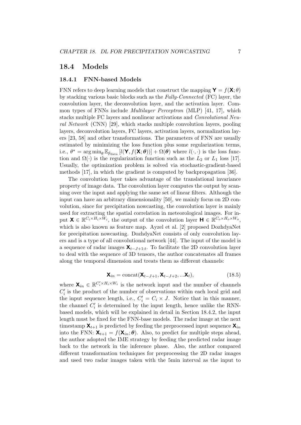### 18.4 Models

#### 18.4.1 FNN-based Models

FNN refers to deep learning models that construct the mapping  $\mathbf{Y} = f(\mathbf{X}; \theta)$ by stacking various basic blocks such as the Fully-Connected (FC) layer, the convolution layer, the deconvolution layer, and the activation layer. Common types of FNNs include Multilayer Perceptron (MLP) [41, 17], which stacks multiple FC layers and nonlinear activations and Convolutional Neural Network (CNN) [29], which stacks multiple convolution layers, pooling layers, deconvolution layers, FC layers, activation layers, normalization layers [23, 58] and other transformations. The parameters of FNN are usually estimated by minimizing the loss function plus some regularization terms, i.e.,  $\theta^* = \arg \min_{\theta} \mathbb{E}_{\hat{p}_{data}} [l(\mathbf{Y}, f(\mathbf{X}; \theta))] + \Omega(\theta)$  where  $l(\cdot, \cdot)$  is the loss function and  $\Omega(\cdot)$  is the regularization function such as the  $L_2$  or  $L_1$  loss [17]. Usually, the optimization problem is solved via stochastic-gradient-based methods [17], in which the gradient is computed by backpropagation [36].

The convolution layer takes advantage of the translational invariance property of image data. The convolution layer computes the output by scanning over the input and applying the same set of linear filters. Although the input can have an arbitrary dimensionality [50], we mainly focus on 2D convolution, since for precipitation nowcasting, the convolution layer is mainly used for extracting the spatial correlation in meteorological images. For input  $\mathbf{X} \in \mathbb{R}^{C_i \times H_i \times W_i}$ , the output of the convolution layer  $\mathbf{H} \in \mathbb{R}^{C_o \times H_o \times W_o}$ , which is also known as feature map. Ayzel et al. [2] proposed DozhdyaNet for precipitation nowcasting. DozhdyaNet consists of only convolution layers and is a type of all convolutional network [44]. The input of the model is a sequence of radar images  $\mathbf{X}_{t-J+1:t}$ . To facilitate the 2D convolution layer to deal with the sequence of 3D tensors, the author concatenates all frames along the temporal dimension and treats them as different channels:

$$
\mathbf{X}_{in} = \text{concat}(\mathbf{X}_{t-J+1}, \mathbf{X}_{t-J+2}, \dots, \mathbf{X}_{t}),
$$
\n(18.5)

where  $\mathbf{X}_{in} \in \mathbb{R}^{C_i' \times H_i \times W_i}$  is the network input and the number of channels  $C_i'$  is the product of the number of observations within each local grid and the input sequence length, i.e.,  $C_i' = C_i \times J$ . Notice that in this manner, the channel  $C_i'$  is determined by the input length, hence unlike the RNNbased models, which will be explained in detail in Section 18.4.2, the input length must be fixed for the FNN-base models. The radar image at the next timestamp  $\mathbf{X}_{t+1}$  is predicted by feeding the preprocessed input sequence  $\mathbf{X}_{in}$ into the FNN:  $\mathbf{X}_{t+1} = f(\mathbf{X}_{in}; \theta)$ . Also, to predict for multiple steps ahead, the author adopted the IME strategy by feeding the predicted radar image back to the network in the inference phase. Also, the author compared different transformation techniques for preprocessing the 2D radar images and used two radar images taken with the 5min interval as the input to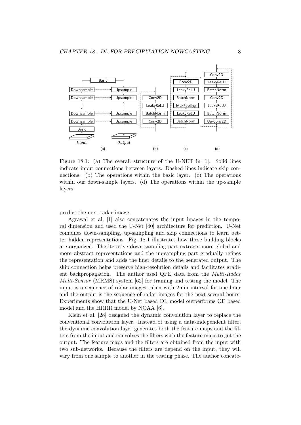

Figure 18.1: (a) The overall structure of the U-NET in [1]. Solid lines indicate input connections between layers. Dashed lines indicate skip connections. (b) The operations within the basic layer. (c) The operations within our down-sample layers. (d) The operations within the up-sample layers.

predict the next radar image.

Agrawal et al. [1] also concatenates the input images in the temporal dimension and used the U-Net [40] architecture for prediction. U-Net combines down-sampling, up-sampling and skip connections to learn better hidden representations. Fig. 18.1 illustrates how these building blocks are organized. The iterative down-sampling part extracts more global and more abstract representations and the up-sampling part gradually refines the representation and adds the finer details to the generated output. The skip connection helps preserve high-resolution details and facilitates gradient backpropagation. The author used QPE data from the Multi-Radar Multi-Sensor (MRMS) system [62] for training and testing the model. The input is a sequence of radar images taken with 2min interval for one hour and the output is the sequence of radar images for the next several hours. Experiments show that the U-Net based DL model outperforms OF based model and the HRRR model by NOAA [6].

Klein et al. [28] designed the dynamic convolution layer to replace the conventional convolution layer. Instead of using a data-independent filter, the dynamic convolution layer generates both the feature maps and the filters from the input and convolves the filters with the feature maps to get the output. The feature maps and the filters are obtained from the input with two sub-networks. Because the filters are depend on the input, they will vary from one sample to another in the testing phase. The author concate-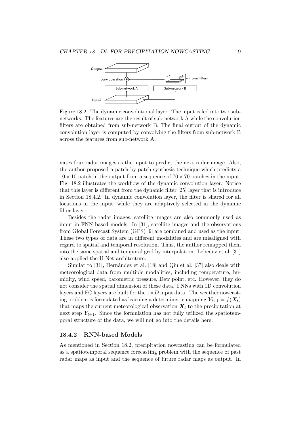

Figure 18.2: The dynamic convolutional layer. The input is fed into two subnetworks. The features are the result of sub-network A while the convolution filters are obtained from sub-network B. The final output of the dynamic convolution layer is computed by convolving the filters from sub-network B across the features from sub-network A.

nates four radar images as the input to predict the next radar image. Also, the author proposed a patch-by-patch synthesis technique which predicts a  $10 \times 10$  patch in the output from a sequence of  $70 \times 70$  patches in the input. Fig. 18.2 illustrates the workflow of the dynamic convolution layer. Notice that this layer is different from the dynamic filter [25] layer that is introduce in Section 18.4.2. In dynamic convolution layer, the filter is shared for all locations in the input, while they are adaptively selected in the dynamic filter layer.

Besides the radar images, satellite images are also commonly used as input in FNN-based models. In [31], satellite images and the observations from Global Forecast System (GFS) [9] are combined and used as the input. These two types of data are in different modalities and are misaligned with regard to spatial and temporal resolution. Thus, the author remapped them into the same spatial and temporal grid by interpolation. Lebedev et al. [31] also applied the U-Net architecture.

Similar to [31], Hernández et al. [18] and Qiu et al. [37] also deals with meteorological data from multiple modalities, including temperature, humidity, wind speed, barometric pressure, Dew point, etc. However, they do not consider the spatial dimension of these data. FNNs with 1D convolution layers and FC layers are built for the  $1\times D$  input data. The weather nowcasting problem is formulated as learning a deterministic mapping  $Y_{t+1} = f(X_t)$ that maps the current meteorological observation  $\mathbf{X}_t$  to the precipitation at next step  $Y_{t+1}$ . Since the formulation has not fully utilized the spatiotemporal structure of the data, we will not go into the details here.

#### 18.4.2 RNN-based Models

As mentioned in Section 18.2, precipitation nowcasting can be formulated as a spatiotemporal sequence forecasting problem with the sequence of past radar maps as input and the sequence of future radar maps as output. In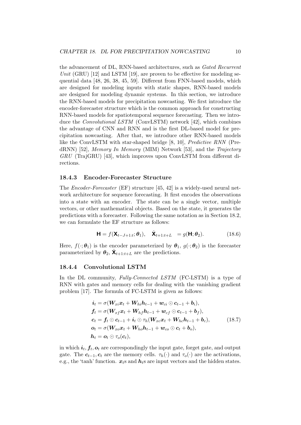the advancement of DL, RNN-based architectures, such as Gated Recurrent Unit (GRU)  $[12]$  and LSTM  $[19]$ , are proven to be effective for modeling sequential data [48, 26, 38, 45, 59]. Different from FNN-based models, which are designed for modeling inputs with static shapes, RNN-based models are designed for modeling dynamic systems. In this section, we introduce the RNN-based models for precipitation nowcasting. We first introduce the encoder-forecaster structure which is the common approach for constructing RNN-based models for spatiotemporal sequence forecasting. Then we introduce the Convolutional LSTM (ConvLSTM) network [42], which combines the advantage of CNN and RNN and is the first DL-based model for precipitation nowcasting. After that, we introduce other RNN-based models like the ConvLSTM with star-shaped bridge [8, 10], Predictive RNN (PredRNN) [52], Memory In Memory (MIM) Network [53], and the Trajectory GRU (TrajGRU) [43], which improves upon ConvLSTM from different directions.

#### 18.4.3 Encoder-Forecaster Structure

The Encoder-Forecaster (EF) structure [45, 42] is a widely-used neural network architecture for sequence forecasting. It first encodes the observations into a state with an encoder. The state can be a single vector, multiple vectors, or other mathematical objects. Based on the state, it generates the predictions with a forecaster. Following the same notation as in Section 18.2, we can formulate the EF structure as follows:

$$
\mathbf{H} = f(\mathbf{X}_{t-J+1:t}; \boldsymbol{\theta}_1), \quad \hat{\mathbf{X}}_{t+1:t+L} = g(\mathbf{H}; \boldsymbol{\theta}_2). \tag{18.6}
$$

Here,  $f(\cdot; \theta_1)$  is the encoder parameterized by  $\theta_1, g(\cdot; \theta_2)$  is the forecaster parameterized by  $\boldsymbol{\theta}_2$ ,  $\hat{\mathbf{X}}_{t+1:t+L}$  are the predictions.

#### 18.4.4 Convolutional LSTM

In the DL community, Fully-Connected LSTM (FC-LSTM) is a type of RNN with gates and memory cells for dealing with the vanishing gradient problem [17]. The formula of FC-LSTM is given as follows:

$$
\begin{aligned}\n\boldsymbol{i}_{t} &= \sigma(\boldsymbol{W}_{xi}\boldsymbol{x}_{t} + \boldsymbol{W}_{hi}\boldsymbol{h}_{t-1} + \boldsymbol{w}_{ci}\odot\boldsymbol{c}_{t-1} + \boldsymbol{b}_{i}), \\
\boldsymbol{f}_{t} &= \sigma(\boldsymbol{W}_{xf}\boldsymbol{x}_{t} + \boldsymbol{W}_{hf}\boldsymbol{h}_{t-1} + \boldsymbol{w}_{cf}\odot\boldsymbol{c}_{t-1} + \boldsymbol{b}_{f}), \\
\boldsymbol{c}_{t} &= \boldsymbol{f}_{t}\odot\boldsymbol{c}_{t-1} + \boldsymbol{i}_{t}\odot\tau_{h}(\boldsymbol{W}_{xc}\boldsymbol{x}_{t} + \boldsymbol{W}_{hc}\boldsymbol{h}_{t-1} + \boldsymbol{b}_{c}), \\
\boldsymbol{o}_{t} &= \sigma(\boldsymbol{W}_{xo}\boldsymbol{x}_{t} + \boldsymbol{W}_{ho}\boldsymbol{h}_{t-1} + \boldsymbol{w}_{co}\odot\boldsymbol{c}_{t} + \boldsymbol{b}_{o}), \\
\boldsymbol{h}_{t} &= \boldsymbol{o}_{t}\odot\tau_{o}(\boldsymbol{c}_{t}),\n\end{aligned} \tag{18.7}
$$

in which  $i_t, f_t, o_t$  are correspondingly the input gate, forget gate, and output gate. The  $c_{t-1}, c_t$  are the memory cells.  $\tau_h(\cdot)$  and  $\tau_o(\cdot)$  are the activations, e.g., the 'tanh' function.  $x_t$ s and  $h_t$ s are input vectors and the hidden states.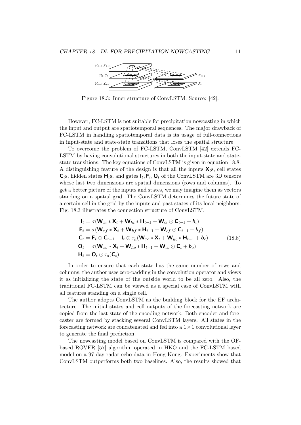

Figure 18.3: Inner structure of ConvLSTM. Source: [42].

However, FC-LSTM is not suitable for precipitation nowcasting in which the input and output are spatiotemporal sequences. The major drawback of FC-LSTM in handling spatiotemporal data is its usage of full-connections in input-state and state-state transitions that loses the spatial structure.

To overcome the problem of FC-LSTM, ConvLSTM [42] extends FC-LSTM by having convolutional structures in both the input-state and statestate transitions. The key equations of ConvLSTM is given in equation 18.8. A distinguishing feature of the design is that all the inputs  $\mathsf{X}_{t}$ s, cell states  $\mathsf{C}_{t}$ s, hidden states  $\mathsf{H}_{t}$ s, and gates  $\mathsf{I}_{t}$ ,  $\mathsf{F}_{t}$ ,  $\mathsf{O}_{t}$  of the ConvLSTM are 3D tensors whose last two dimensions are spatial dimensions (rows and columns). To get a better picture of the inputs and states, we may imagine them as vectors standing on a spatial grid. The ConvLSTM determines the future state of a certain cell in the grid by the inputs and past states of its local neighbors. Fig. 18.3 illustrates the connection structure of ConvLSTM.

$$
\mathbf{l}_{t} = \sigma(\mathbf{W}_{xi} * \mathbf{X}_{t} + \mathbf{W}_{hi} * \mathbf{H}_{t-1} + \mathbf{W}_{ci} \odot \mathbf{C}_{t-1} + b_{i})
$$
\n
$$
\mathbf{F}_{t} = \sigma(\mathbf{W}_{xf} * \mathbf{X}_{t} + \mathbf{W}_{hf} * \mathbf{H}_{t-1} + \mathbf{W}_{cf} \odot \mathbf{C}_{t-1} + b_{f})
$$
\n
$$
\mathbf{C}_{t} = \mathbf{F}_{t} \odot \mathbf{C}_{t-1} + \mathbf{I}_{t} \odot \tau_{h}(\mathbf{W}_{xc} * \mathbf{X}_{t} + \mathbf{W}_{hc} * \mathbf{H}_{t-1} + b_{c})
$$
\n
$$
\mathbf{O}_{t} = \sigma(\mathbf{W}_{xo} * \mathbf{X}_{t} + \mathbf{W}_{ho} * \mathbf{H}_{t-1} + \mathbf{W}_{co} \odot \mathbf{C}_{t} + b_{o})
$$
\n
$$
\mathbf{H}_{t} = \mathbf{O}_{t} \odot \tau_{o}(\mathbf{C}_{t})
$$
\n(18.8)

In order to ensure that each state has the same number of rows and columns, the author uses zero-padding in the convolution operator and views it as initializing the state of the outside world to be all zero. Also, the traditional FC-LSTM can be viewed as a special case of ConvLSTM with all features standing on a single cell.

The author adopts ConvLSTM as the building block for the EF architecture. The initial states and cell outputs of the forecasting network are copied from the last state of the encoding network. Both encoder and forecaster are formed by stacking several ConvLSTM layers. All states in the forecasting network are concatenated and fed into a  $1 \times 1$  convolutional layer to generate the final prediction.

The nowcasting model based on ConvLSTM is compared with the OFbased ROVER [57] algorithm operated in HKO and the FC-LSTM based model on a 97-day radar echo data in Hong Kong. Experiments show that ConvLSTM outperforms both two baselines. Also, the results showed that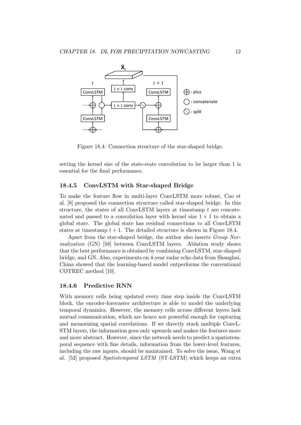

Figure 18.4: Connection structure of the star-shaped bridge.

setting the kernel size of the state-state convolution to be larger than 1 is essential for the final performance.

#### 18.4.5 ConvLSTM with Star-shaped Bridge

To make the feature flow in multi-layer ConvLSTM more robust, Cao et al. [8] proposed the connection structure called star-shaped bridge. In this structure, the states of all ConvLSTM layers at timestamp  $t$  are concatenated and passed to a convolution layer with kernel size  $1 \times 1$  to obtain a global state. The global state has residual connections to all ConvLSTM states at timestamp  $t + 1$ . The detailed structure is shown in Figure 18.4.

Apart from the star-shaped bridge, the author also inserts Group Normalization (GN) [58] between ConvLSTM layers. Ablation study shows that the best performance is obtained by combining ConvLSTM, star-shaped bridge, and GN. Also, experiments on 4-year radar echo data from Shanghai, China showed that the learning-based model outperforms the conventional COTREC method [10].

#### 18.4.6 Predictive RNN

With memory cells being updated every time step inside the ConvLSTM block, the encoder-forecaster architecture is able to model the underlying temporal dynamics. However, the memory cells across different layers lack mutual communication, which are hence not powerful enough for capturing and memorizing spatial correlations. If we directly stack multiple ConvL-STM layers, the information goes only upwards and makes the features more and more abstract. However, since the network needs to predict a spatiotemporal sequence with fine details, information from the lower-level features, including the raw inputs, should be maintained. To solve the issue, Wang et al. [52] proposed Spatiotemporal LSTM (ST-LSTM) which keeps an extra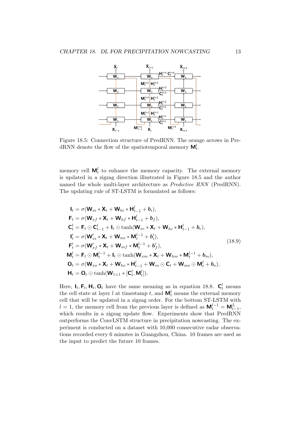

Figure 18.5: Connection structure of PredRNN. The orange arrows in PredRNN denote the flow of the spatiotemporal memory  $\mathbf{M}_{t}^{l}$ .

memory cell  $\mathbf{M}_t^l$  to enhance the memory capacity. The external memory is updated in a zigzag direction illustrated in Figure 18.5 and the author named the whole multi-layer architecture as Predictive RNN (PredRNN). The updating rule of ST-LSTM is formulated as follows:

$$
\mathbf{l}_{t} = \sigma(\mathbf{W}_{xi} * \mathbf{X}_{t} + \mathbf{W}_{hi} * \mathbf{H}_{t-1}^{l} + b_{i}),
$$
\n
$$
\mathbf{F}_{t} = \sigma(\mathbf{W}_{xf} * \mathbf{X}_{t} + \mathbf{W}_{hf} * \mathbf{H}_{t-1}^{l} + b_{f}),
$$
\n
$$
\mathbf{C}_{t}^{l} = \mathbf{F}_{t} \odot \mathbf{C}_{t-1}^{l} + \mathbf{I}_{t} \odot \tanh(\mathbf{W}_{xc} * \mathbf{X}_{t} + \mathbf{W}_{hc} * \mathbf{H}_{t-1}^{l} + b_{c}),
$$
\n
$$
\mathbf{l}'_{t} = \sigma(\mathbf{W}'_{xi} * \mathbf{X}_{t} + \mathbf{W}_{mi} * \mathbf{M}_{t}^{l-1} + b'_{i}),
$$
\n
$$
\mathbf{F}'_{t} = \sigma(\mathbf{W}'_{xf} * \mathbf{X}_{t} + \mathbf{W}_{mf} * \mathbf{M}_{t}^{l-1} + b'_{f}),
$$
\n
$$
\mathbf{M}_{t}^{l} = \mathbf{F}_{t} \odot \mathbf{M}_{t}^{l-1} + \mathbf{I}_{t} \odot \tanh(\mathbf{W}_{xm} * \mathbf{X}_{t} + \mathbf{W}_{hm} * \mathbf{M}_{t}^{l-1} + b_{m}),
$$
\n
$$
\mathbf{O}_{t} = \sigma(\mathbf{W}_{xo} * \mathbf{X}_{t} + \mathbf{W}_{ho} * \mathbf{H}_{t-1}^{l} + \mathbf{W}_{co} \odot \mathbf{C}_{t} + \mathbf{W}_{mo} \odot \mathbf{M}_{t}^{l} + b_{o}),
$$
\n
$$
\mathbf{H}_{t} = \mathbf{O}_{t} \odot \tanh(\mathbf{W}_{1 \times 1} * [\mathbf{C}_{t}^{l}, \mathbf{M}_{t}^{l}]).
$$
\n(18.9)

Here,  $I_t$ ,  $\mathbf{F}_t$ ,  $\mathbf{H}_t$ ,  $\mathbf{O}_t$  have the same meaning as in equation 18.8.  $\mathbf{C}_t^l$  means the cell state at layer l at timestamp t, and  $\mathbf{M}_t^l$  means the external memory cell that will be updated in a zigzag order. For the bottom ST-LSTM with  $l = 1$ , the memory cell from the previous layer is defined as  $\mathbf{M}_t^{l-1} = \mathbf{M}_{t-1}^L$ , which results in a zigzag update flow. Experiments show that PredRNN outperforms the ConvLSTM structure in precipitation nowcasting. The experiment is conducted on a dataset with 10,000 consecutive radar observations recorded every 6 minutes in Guangzhou, China. 10 frames are used as the input to predict the future 10 frames.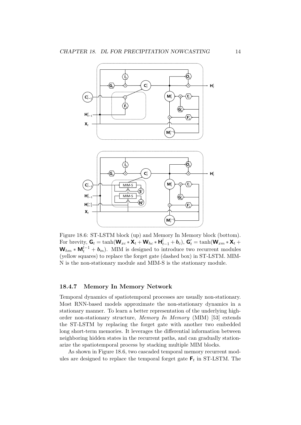

Figure 18.6: ST-LSTM block (up) and Memory In Memory block (bottom). For brevity,  $\mathbf{G}_t = \tanh(\mathbf{W}_{xc} \cdot \mathbf{X}_t + \mathbf{W}_{hc} \cdot \mathbf{H}_{t-1}^l + \mathbf{b}_c), \ \mathbf{G}'_t = \tanh(\mathbf{W}_{xm} \cdot \mathbf{X}_t + \mathbf{b}_c)$  $W_{hm} * M_t^{l-1} + b_m$ . MIM is designed to introduce two recurrent modules (yellow squares) to replace the forget gate (dashed box) in ST-LSTM. MIM-N is the non-stationary module and MIM-S is the stationary module.

### 18.4.7 Memory In Memory Network

Temporal dynamics of spatiotemporal processes are usually non-stationary. Most RNN-based models approximate the non-stationary dynamics in a stationary manner. To learn a better representation of the underlying highorder non-stationary structure, Memory In Memory (MIM) [53] extends the ST-LSTM by replacing the forget gate with another two embedded long short-term memories. It leverages the differential information between neighboring hidden states in the recurrent paths, and can gradually stationarize the spatiotemporal process by stacking multiple MIM blocks.

As shown in Figure 18.6, two cascaded temporal memory recurrent modules are designed to replace the temporal forget gate  $F_t$  in ST-LSTM. The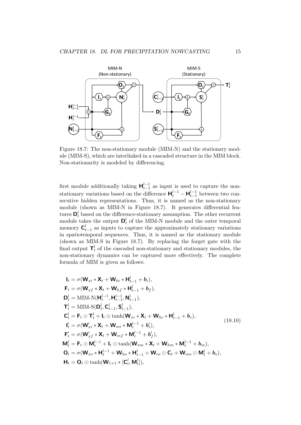

Figure 18.7: The non-stationary module (MIM-N) and the stationary module (MIM-S), which are interlinked in a cascaded structure in the MIM block. Non-stationarity is modeled by differencing.

first module additionally taking  $\mathbf{H}_{t-1}^{l-1}$  as input is used to capture the nonstationary variations based on the difference  $\mathbf{H}_{t}^{l-1} - \mathbf{H}_{t-1}^{l-1}$  between two consecutive hidden representations. Thus, it is named as the non-stationary module (shown as MIM-N in Figure 18.7). It generates differential features  $\mathbf{D}_t^l$  based on the difference-stationary assumption. The other recurrent module takes the output  $\mathbf{D}_t^l$  of the MIM-N module and the outer temporal memory  $C_{t-1}^l$  as inputs to capture the approximately stationary variations in spatiotemporal sequences. Thus, it is named as the stationary module (shown as MIM-S in Figure 18.7). By replacing the forget gate with the final output  $\mathbf{T}_t^l$  of the cascaded non-stationary and stationary modules, the non-stationary dynamics can be captured more effectively. The complete formula of MIM is given as follows:

$$
\begin{aligned}\n\mathbf{l}_{t} &= \sigma(\mathbf{W}_{xi} * \mathbf{X}_{t} + \mathbf{W}_{hi} * \mathbf{H}_{t-1}^{l} + b_{i}), \\
\mathbf{F}_{t} &= \sigma(\mathbf{W}_{xf} * \mathbf{X}_{t} + \mathbf{W}_{hf} * \mathbf{H}_{t-1}^{l} + b_{f}), \\
\mathbf{D}_{t}^{l} &= \text{MIM-N}(\mathbf{H}_{t}^{l-1}, \mathbf{H}_{t-1}^{l-1}, \mathbf{N}_{t-1}^{l}), \\
\mathbf{T}_{t}^{l} &= \text{MIM-S}(\mathbf{D}_{t}^{l}, \mathbf{C}_{t-1}^{l}, \mathbf{S}_{t-1}^{l}), \\
\mathbf{C}_{t}^{l} &= \mathbf{F}_{t} \odot \mathbf{T}_{t}^{l} + \mathbf{I}_{t} \odot \tanh(\mathbf{W}_{xc} * \mathbf{X}_{t} + \mathbf{W}_{hc} * \mathbf{H}_{t-1}^{l} + b_{c}), \\
\mathbf{I}_{t}^{l} &= \sigma(\mathbf{W}_{xi}^{l} * \mathbf{X}_{t} + \mathbf{W}_{mi} * \mathbf{M}_{t}^{l-1} + b_{i}^{l}), \\
\mathbf{F}_{t}^{l} &= \sigma(\mathbf{W}_{xf}^{l} * \mathbf{X}_{t} + \mathbf{W}_{mf} * \mathbf{M}_{t}^{l-1} + b_{f}^{l}), \\
\mathbf{M}_{t}^{l} &= \mathbf{F}_{t} \odot \mathbf{M}_{t}^{l-1} + \mathbf{I}_{t} \odot \tanh(\mathbf{W}_{xm} * \mathbf{X}_{t} + \mathbf{W}_{hm} * \mathbf{M}_{t}^{l-1} + b_{m}), \\
\mathbf{O}_{t} &= \sigma(\mathbf{W}_{xo} * \mathbf{H}_{t}^{l-1} + \mathbf{W}_{ho} * \mathbf{H}_{t-1}^{l} + \mathbf{W}_{co} \odot \mathbf{C}_{t} + \mathbf{W}_{mo} \odot \mathbf{M}_{t}^{l} + b_{o}), \\
\mathbf{H}_{t} &= \mathbf{O}_{t} \odot \tanh(\mathbf{W}_{1 \times 1} * [\mathbf{C}_{t}^{l}, \mathbf{M}_{t}^{l}]),\n\end{aligned}
$$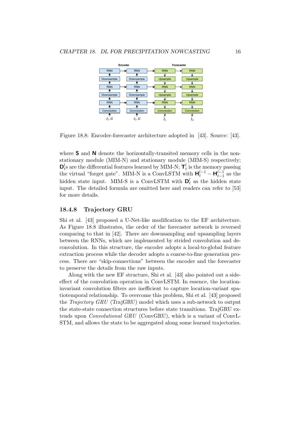

Figure 18.8: Encoder-forecaster architecture adopted in [43]. Source: [43].

where S and N denote the horizontally-transited memory cells in the nonstationary module (MIM-N) and stationary module (MIM-S) respectively;  $\mathbf{D}_t^l$ s are the differential features learned by MIM-N;  $\mathbf{T}_t^l$  is the memory passing the virtual "forget gate". MIM-N is a ConvLSTM with  $\mathbf{H}_{t}^{l-1} - \mathbf{H}_{t-1}^{l-1}$  as the hidden state input. MIM-S is a ConvLSTM with  $\mathbf{D}_t^l$  as the hidden state input. The detailed formula are omitted here and readers can refer to [53] for more details.

#### 18.4.8 Trajectory GRU

Shi et al. [43] proposed a U-Net-like modification to the EF architecture. As Figure 18.8 illustrates, the order of the forecaster network is reversed comparing to that in [42]. There are downsampling and upsampling layers between the RNNs, which are implemented by strided convolution and deconvolution. In this structure, the encoder adopts a local-to-global feature extraction process while the decoder adopts a coarse-to-fine generation process. There are "skip-connections" between the encoder and the forecaster to preserve the details from the raw inputs.

Along with the new EF structure, Shi et al. [43] also pointed out a sideeffect of the convolution operation in ConvLSTM. In essence, the locationinvariant convolution filters are inefficient to capture location-variant spatiotemporal relationship. To overcome this problem, Shi et al. [43] proposed the Trajectory GRU (TrajGRU) model which uses a sub-network to output the state-state connection structures before state transitions. TrajGRU extends upon *Convolutional GRU* (ConvGRU), which is a variant of ConvL-STM, and allows the state to be aggregated along some learned trajectories.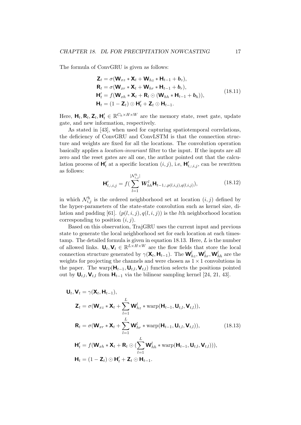The formula of ConvGRU is given as follows:

$$
\mathbf{Z}_{t} = \sigma(\mathbf{W}_{xz} * \mathbf{X}_{t} + \mathbf{W}_{hz} * \mathbf{H}_{t-1} + \mathbf{b}_{z}),
$$
\n
$$
\mathbf{R}_{t} = \sigma(\mathbf{W}_{xr} * \mathbf{X}_{t} + \mathbf{W}_{hr} * \mathbf{H}_{t-1} + \mathbf{b}_{r}),
$$
\n
$$
\mathbf{H}'_{t} = f(\mathbf{W}_{xh} * \mathbf{X}_{t} + \mathbf{R}_{t} \odot (\mathbf{W}_{hh} * \mathbf{H}_{t-1} + \mathbf{b}_{h})),
$$
\n
$$
\mathbf{H}_{t} = (1 - \mathbf{Z}_{t}) \odot \mathbf{H}'_{t} + \mathbf{Z}_{t} \odot \mathbf{H}_{t-1}.
$$
\n(18.11)

Here,  $\mathbf{H}_t, \mathbf{R}_t, \mathbf{Z}_t, \mathbf{H}'_t \in \mathbb{R}^{C_h \times H \times W}$  are the memory state, reset gate, update gate, and new information, respectively.

As stated in [43], when used for capturing spatiotemporal correlations, the deficiency of ConvGRU and ConvLSTM is that the connection structure and weights are fixed for all the locations. The convolution operation basically applies a location-invariant filter to the input. If the inputs are all zero and the reset gates are all one, the author pointed out that the calculation process of  $\mathsf{H}'_t$  at a specific location  $(i, j)$ , i.e,  $\mathsf{H}'_{t, j, i, j}$ , can be rewritten as follows:

$$
\mathbf{H}'_{t,:i,j} = f\left(\sum_{l=1}^{|\mathcal{N}_{i,j}^h|} \mathbf{W}_{hh}^l \mathbf{H}_{t-1,:p(l,i,j),q(l,i,j)}\right),\tag{18.12}
$$

in which  $\mathcal{N}_{i,j}^h$  is the ordered neighborhood set at location  $(i, j)$  defined by the hyper-parameters of the state-state convolution such as kernel size, dilation and padding [61].  $(p(l, i, j), q(l, i, j))$  is the *l*th neighborhood location corresponding to position  $(i, j)$ .

Based on this observation, TrajGRU uses the current input and previous state to generate the local neighborhood set for each location at each timestamp. The detailed formula is given in equation 18.13. Here,  $L$  is the number of allowed links.  $\mathbf{U}_t, \mathbf{V}_t \in \mathbb{R}^{L \times H \times W}$  are the flow fields that store the local connection structure generated by  $\gamma(\mathbf{X}_t, \mathbf{H}_{t-1})$ . The  $\mathbf{W}_{hz}^l$ ,  $\mathbf{W}_{hr}^l$ ,  $\mathbf{W}_{hh}^l$  are the weights for projecting the channels and were chosen as  $1 \times 1$  convolutions in the paper. The warp( $\mathbf{H}_{t-1}, \mathbf{U}_{t,l}, \mathbf{V}_{t,l}$ ) function selects the positions pointed out by  $U_{t,l}$ ,  $V_{t,l}$  from  $H_{t-1}$  via the bilinear sampling kernel [24, 21, 43].

$$
\mathbf{U}_{t}, \mathbf{V}_{t} = \gamma(\mathbf{X}_{t}, \mathbf{H}_{t-1}),
$$
\n
$$
\mathbf{Z}_{t} = \sigma(\mathbf{W}_{xz} * \mathbf{X}_{t} + \sum_{l=1}^{L} \mathbf{W}_{hz}^{l} * \text{warp}(\mathbf{H}_{t-1}, \mathbf{U}_{t,l}, \mathbf{V}_{t,l})),
$$
\n
$$
\mathbf{R}_{t} = \sigma(\mathbf{W}_{xr} * \mathbf{X}_{t} + \sum_{l=1}^{L} \mathbf{W}_{hr}^{l} * \text{warp}(\mathbf{H}_{t-1}, \mathbf{U}_{t,l}, \mathbf{V}_{t,l})),
$$
\n
$$
\mathbf{H}_{t}^{'} = f(\mathbf{W}_{xh} * \mathbf{X}_{t} + \mathbf{R}_{t} \odot (\sum_{l=1}^{L} \mathbf{W}_{hh}^{l} * \text{warp}(\mathbf{H}_{t-1}, \mathbf{U}_{t,l}, \mathbf{V}_{t,l}))),
$$
\n
$$
\mathbf{H}_{t} = (1 - \mathbf{Z}_{t}) \odot \mathbf{H}_{t}^{l} + \mathbf{Z}_{t} \odot \mathbf{H}_{t-1}.
$$
\n(18.13)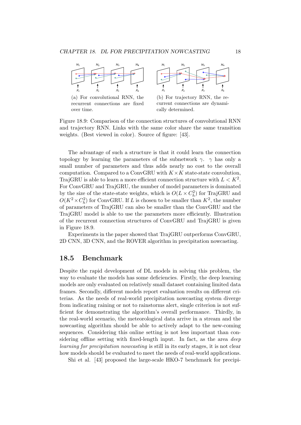

(a) For convolutional RNN, the recurrent connections are fixed over time.



(b) For trajectory RNN, the recurrent connections are dynamically determined.

Figure 18.9: Comparison of the connection structures of convolutional RNN and trajectory RNN. Links with the same color share the same transition weights. (Best viewed in color). Source of figure: [43].

The advantage of such a structure is that it could learn the connection topology by learning the parameters of the subnetwork  $\gamma$ .  $\gamma$  has only a small number of parameters and thus adds nearly no cost to the overall computation. Compared to a ConvGRU with  $K \times K$  state-state convolution, TrajGRU is able to learn a more efficient connection structure with  $L < K^2$ . For ConvGRU and TrajGRU, the number of model parameters is dominated by the size of the state-state weights, which is  $O(L \times C_h^2)$  for TrajGRU and  $O(K^2 \times C_h^2)$  for ConvGRU. If L is chosen to be smaller than  $K^2$ , the number of parameters of TrajGRU can also be smaller than the ConvGRU and the TrajGRU model is able to use the parameters more efficiently. Illustration of the recurrent connection structures of ConvGRU and TrajGRU is given in Figure 18.9.

Experiments in the paper showed that TrajGRU outperforms ConvGRU, 2D CNN, 3D CNN, and the ROVER algorithm in precipitation nowcasting.

# 18.5 Benchmark

Despite the rapid development of DL models in solving this problem, the way to evaluate the models has some deficiencies. Firstly, the deep learning models are only evaluated on relatively small dataset containing limited data frames. Secondly, different models report evaluation results on different criterias. As the needs of real-world precipitation nowcasting system diverge from indicating raining or not to rainstorms alert, single criterion is not sufficient for demonstrating the algorithm's overall performance. Thirdly, in the real-world scenario, the meteorological data arrive in a stream and the nowcasting algorithm should be able to actively adapt to the new-coming sequences. Considering this online setting is not less important than considering offline setting with fixed-length input. In fact, as the area deep learning for precipitation nowcasting is still in its early stages, it is not clear how models should be evaluated to meet the needs of real-world applications.

Shi et al. [43] proposed the large-scale HKO-7 benchmark for precipi-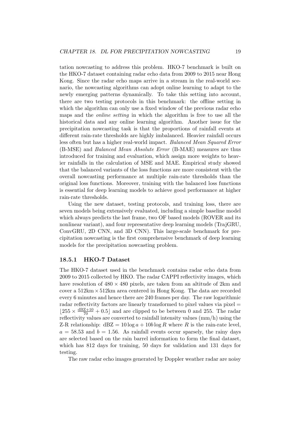tation nowcasting to address this problem. HKO-7 benchmark is built on the HKO-7 dataset containing radar echo data from 2009 to 2015 near Hong Kong. Since the radar echo maps arrive in a stream in the real-world scenario, the nowcasting algorithms can adopt online learning to adapt to the newly emerging patterns dynamically. To take this setting into account, there are two testing protocols in this benchmark: the offline setting in which the algorithm can only use a fixed window of the previous radar echo maps and the online setting in which the algorithm is free to use all the historical data and any online learning algorithm. Another issue for the precipitation nowcasting task is that the proportions of rainfall events at different rain-rate thresholds are highly imbalanced. Heavier rainfall occurs less often but has a higher real-world impact. Balanced Mean Squared Error (B-MSE) and Balanced Mean Absolute Error (B-MAE) measures are thus introduced for training and evaluation, which assign more weights to heavier rainfalls in the calculation of MSE and MAE. Empirical study showed that the balanced variants of the loss functions are more consistent with the overall nowcasting performance at multiple rain-rate thresholds than the original loss functions. Moreover, training with the balanced loss functions is essential for deep learning models to achieve good performance at higher rain-rate thresholds.

Using the new dataset, testing protocols, and training loss, there are seven models being extensively evaluated, including a simple baseline model which always predicts the last frame, two OF based models (ROVER and its nonlinear variant), and four representative deep learning models (TrajGRU, ConvGRU, 2D CNN, and 3D CNN). This large-scale benchmark for precipitation nowcasting is the first comprehensive benchmark of deep learning models for the precipitation nowcasting problem.

#### 18.5.1 HKO-7 Dataset

The HKO-7 dataset used in the benchmark contains radar echo data from 2009 to 2015 collected by HKO. The radar CAPPI reflectivity images, which have resolution of  $480 \times 480$  pixels, are taken from an altitude of 2km and cover a  $512 \text{km} \times 512 \text{km}$  area centered in Hong Kong. The data are recorded every 6 minutes and hence there are 240 frames per day. The raw logarithmic radar reflectivity factors are linearly transformed to pixel values via pixel  $=$  $\lfloor 255 \times \frac{dBZ+10}{70} + 0.5 \rfloor$  and are clipped to be between 0 and 255. The radar reflectivity values are converted to rainfall intensity values (mm/h) using the Z-R relationship:  $dBZ = 10 \log a + 10b \log R$  where R is the rain-rate level,  $a = 58.53$  and  $b = 1.56$ . As rainfall events occur sparsely, the rainy days are selected based on the rain barrel information to form the final dataset, which has 812 days for training, 50 days for validation and 131 days for testing.

The raw radar echo images generated by Doppler weather radar are noisy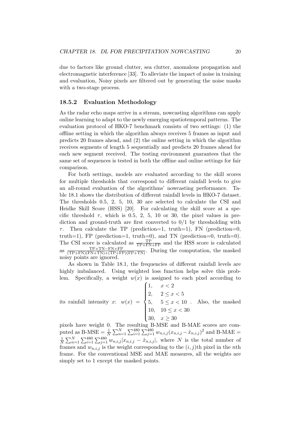due to factors like ground clutter, sea clutter, anomalous propagation and electromagnetic interference [33]. To alleviate the impact of noise in training and evaluation, Noisy pixels are filtered out by generating the noise masks with a two-stage process.

#### 18.5.2 Evaluation Methodology

As the radar echo maps arrive in a stream, nowcasting algorithms can apply online learning to adapt to the newly emerging spatiotemporal patterns. The evaluation protocol of HKO-7 benchmark consists of two settings: (1) the offline setting in which the algorithm always receives 5 frames as input and predicts 20 frames ahead, and (2) the online setting in which the algorithm receives segments of length 5 sequentially and predicts 20 frames ahead for each new segment received. The testing environment guarantees that the same set of sequences is tested in both the offline and online settings for fair comparison.

For both settings, models are evaluated according to the skill scores for multiple thresholds that correspond to different rainfall levels to give an all-round evaluation of the algorithms' nowcasting performance. Table 18.1 shows the distribution of different rainfall levels in HKO-7 dataset. The thresholds 0.5, 2, 5, 10, 30 are selected to calculate the CSI and Heidke Skill Score (HSS) [20]. For calculating the skill score at a specific threshold  $\tau$ , which is 0.5, 2, 5, 10 or 30, the pixel values in prediction and ground-truth are first converted to  $0/1$  by thresholding with  $\tau$ . Then calculate the TP (prediction=1, truth=1), FN (prediction=0, truth=1), FP (prediction=1, truth=0), and TN (prediction=0, truth=0). The CSI score is calculated as  $\frac{TP}{TP+FN+FP}$  and the HSS score is calculated as  $\frac{\text{TP} \times \text{TN} - \text{FN} \times \text{FP}}{(\text{TP} + \text{FN})(\text{FN} + \text{TN}) + (\text{TP} + \text{FP})(\text{FP} + \text{TN})}$ . During the computation, the masked noisy points are ignored.

As shown in Table 18.1, the frequencies of different rainfall levels are highly imbalanced. Using weighted loss function helps solve this problem. Specifically, a weight  $w(x)$  is assigned to each pixel according to

its rainfall intensity x:  $w(x) =$  $\sqrt{ }$  $\int$  $\overline{\mathcal{L}}$ 1,  $x < 2$ 2,  $2 \le x < 5$ 5,  $5 \le x < 10$ 10,  $10 \le x < 30$ 30,  $x \ge 30$ . Also, the masked

pixels have weight 0. The resulting B-MSE and B-MAE scores are computed as B-MSE =  $\frac{1}{N} \sum_{n=1}^{N} \sum_{i=1}^{480} \sum_{j=1}^{480} w_{n,i,j} (x_{n,i,j} - \hat{x}_{n,i,j})^2$  and B-MAE = 1  $\frac{1}{N}\sum_{n=1}^{N}\sum_{i=1}^{480}\sum_{j=1}^{480} w_{n,i,j}|x_{n,i,j} - \hat{x}_{n,i,j}|$ , where N is the total number of frames and  $w_{n,i,j}$  is the weight corresponding to the  $(i, j)$ th pixel in the nth frame. For the conventional MSE and MAE measures, all the weights are simply set to 1 except the masked points.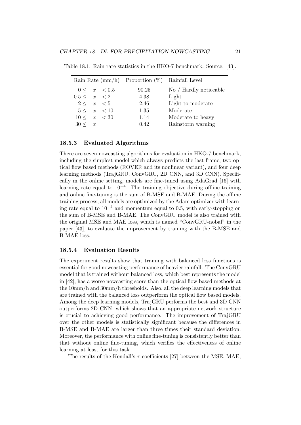|                  | Rain Rate $(\text{mm/h})$ Proportion $(\%)$ Rainfall Level |                        |
|------------------|------------------------------------------------------------|------------------------|
| $0 \leq x < 0.5$ | 90.25                                                      | No / Hardly noticeable |
| 0.5 < x < 2      | 4.38                                                       | Light                  |
| 2 < x < 5        | 2.46                                                       | Light to moderate      |
| 5 < x < 10       | 1.35                                                       | Moderate               |
| 10 < x < 30      | 1.14                                                       | Moderate to heavy      |
| $30 \leq x$      | 0.42                                                       | Rainstorm warning      |

Table 18.1: Rain rate statistics in the HKO-7 benchmark. Source: [43].

#### 18.5.3 Evaluated Algorithms

There are seven nowcasting algorithms for evaluation in HKO-7 benchmark, including the simplest model which always predicts the last frame, two optical flow based methods (ROVER and its nonlinear variant), and four deep learning methods (TrajGRU, ConvGRU, 2D CNN, and 3D CNN). Specifically in the online setting, models are fine-tuned using AdaGrad [16] with learning rate equal to  $10^{-4}$ . The training objective during offline training and online fine-tuning is the sum of B-MSE and B-MAE. During the offline training process, all models are optimized by the Adam optimizer with learning rate equal to  $10^{-4}$  and momentum equal to 0.5, with early-stopping on the sum of B-MSE and B-MAE. The ConvGRU model is also trained with the original MSE and MAE loss, which is named "ConvGRU-nobal" in the paper [43], to evaluate the improvement by training with the B-MSE and B-MAE loss.

#### 18.5.4 Evaluation Results

The experiment results show that training with balanced loss functions is essential for good nowcasting performance of heavier rainfall. The ConvGRU model that is trained without balanced loss, which best represents the model in [42], has a worse nowcasting score than the optical flow based methods at the 10mm/h and 30mm/h thresholds. Also, all the deep learning models that are trained with the balanced loss outperform the optical flow based models. Among the deep learning models, TrajGRU performs the best and 3D CNN outperforms 2D CNN, which shows that an appropriate network structure is crucial to achieving good performance. The improvement of TrajGRU over the other models is statistically significant because the differences in B-MSE and B-MAE are larger than three times their standard deviation. Moreover, the performance with online fine-tuning is consistently better than that without online fine-tuning, which verifies the effectiveness of online learning at least for this task.

The results of the Kendall's  $\tau$  coefficients [27] between the MSE, MAE,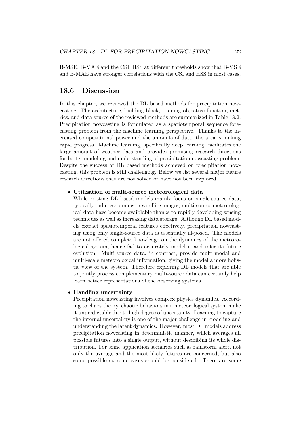B-MSE, B-MAE and the CSI, HSS at different thresholds show that B-MSE and B-MAE have stronger correlations with the CSI and HSS in most cases.

# 18.6 Discussion

In this chapter, we reviewed the DL based methods for precipitation nowcasting. The architecture, building block, training objective function, metrics, and data source of the reviewed methods are summarized in Table 18.2. Precipitation nowcasting is formulated as a spatiotemporal sequence forecasting problem from the machine learning perspective. Thanks to the increased computational power and the amounts of data, the area is making rapid progress. Machine learning, specifically deep learning, facilitates the large amount of weather data and provides promising research directions for better modeling and understanding of precipitation nowcasting problem. Despite the success of DL based methods achieved on precipitation nowcasting, this problem is still challenging. Below we list several major future research directions that are not solved or have not been explored:

#### • Utilization of multi-source meteorological data

While existing DL based models mainly focus on single-source data, typically radar echo maps or satellite images, multi-source meteorological data have become avaiblable thanks to rapidly developing sensing techniques as well as increasing data storage. Although DL based models extract spatiotemporal features effectively, precipitation nowcasting using only single-source data is essentially ill-posed. The models are not offered complete knowledge on the dynamics of the meteorological system, hence fail to accurately model it and infer its future evolution. Multi-source data, in contrast, provide multi-modal and multi-scale meteorological information, giving the model a more holistic view of the system. Therefore exploring DL models that are able to jointly process complementary multi-source data can certainly help learn better representations of the observing systems.

#### • Handling uncertainty

Precipitation nowcasting involves complex physics dynamics. According to chaos theory, chaotic behaviors in a meteorological system make it unpredictable due to high degree of uncertainty. Learning to capture the internal uncertainty is one of the major challenge in modeling and understanding the latent dynamics. However, most DL models address precipitation nowcasting in deterministic manner, which averages all possible futures into a single output, without describing its whole distribution. For some application scenarios such as rainstorm alert, not only the average and the most likely futures are concerned, but also some possible extreme cases should be considered. There are some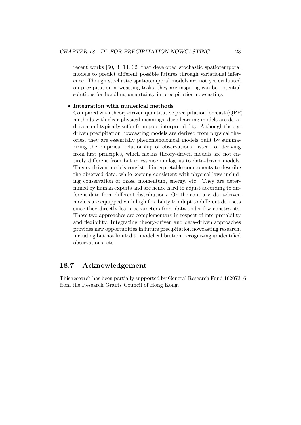recent works [60, 3, 14, 32] that developed stochastic spatiotemporal models to predict different possible futures through variational inference. Though stochastic spatiotemporal models are not yet evaluated on precipitation nowcasting tasks, they are inspiring can be potential solutions for handling uncertainty in precipitation nowcasting.

#### • Integration with numerical methods

Compared with theory-driven quantitative precipitation forecast (QPF) methods with clear physical meanings, deep learning models are datadriven and typically suffer from poor interpretability. Although theorydriven precipitation nowcasting models are derived from physical theories, they are essentially phenomenological models built by summarizing the empirical relationship of observations instead of deriving from first principles, which means theory-driven models are not entirely different from but in essence analogous to data-driven models. Theory-driven models consist of interpretable components to describe the observed data, while keeping consistent with physical laws including conservation of mass, momentum, energy, etc. They are determined by human experts and are hence hard to adjust according to different data from different distributions. On the contrary, data-driven models are equipped with high flexibility to adapt to different datasets since they directly learn parameters from data under few constraints. These two approaches are complementary in respect of interpretability and flexibility. Integrating theory-driven and data-driven approaches provides new opportunities in future precipitation nowcasting research, including but not limited to model calibration, recognizing unidentified observations, etc.

# 18.7 Acknowledgement

This research has been partially supported by General Research Fund 16207316 from the Research Grants Council of Hong Kong.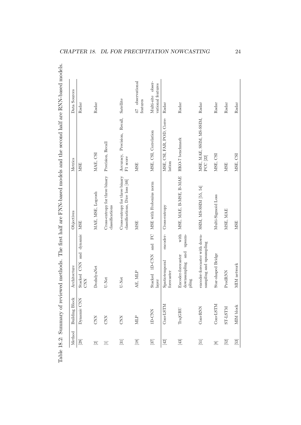| Method               | <b>Building Block</b> | Architecture                                                      | Objectives                                                        | Metrics                                  | Data Sources                           |
|----------------------|-----------------------|-------------------------------------------------------------------|-------------------------------------------------------------------|------------------------------------------|----------------------------------------|
|                      | Dynamic CNN           | dynamic<br>Stacked CNN and<br><b>CNN</b>                          | <b>MSE</b>                                                        | <b>MSE</b>                               | Radar                                  |
| $\boxed{2}$          | <b>CNN</b>            | DozhdyaNet                                                        | MAE, MSE, Logoosh                                                 | MAE, CSI                                 | Radar                                  |
| Ξ                    | <b>CNN</b>            | U-Net                                                             | Cross-entropy for three binary<br>classifications                 | Precision, Recall                        |                                        |
| $[31]$               | <b>CNN</b>            | U-Net                                                             | Cross-entropy for three binary<br>classifications, Dice loss [46] | Accuracy, Precision, Recall,<br>F1 score | Satellite                              |
|                      | <b>MLP</b>            | AE, MLP                                                           | <b>MSE</b>                                                        | <b>MSE</b>                               | 47 observational<br>features           |
| $[37]$               | <b>ID-CNN</b>         | FC<br>and<br>Stacked 1D-CNN<br>layer                              | MSE with Frobenius norm                                           | MSE, CSI, Correlation                    | Multi-site obser-<br>vational features |
| $[42] \label{eq:42}$ | CONVLSTM              | encoder-<br>Spatiotemporal<br>forecaster                          | Cross-entropy                                                     | MSE, CSI, FAR, POD, Corre-<br>lation     | Radar                                  |
| $[43] \label{eq:43}$ | TrajGRU               | with<br>upsam-<br>downsampling and<br>Encoder-forecaster<br>pling | MSE, MAE, B-MSE, B-MAE                                            | HKO-7 benchmark                          | Radar                                  |
| $\Xi$                | ConvRNN               | encoder-forecaster with down-<br>sampling and upsampling          | SSIM, MS-SSIM [55, 54]                                            | MSE, MAE, SSIM, MS-SSIM,<br>$PCC$ $[22]$ | Radar                                  |
| $\boxed{8}$          | CONVLSTM              | Star-shaped Bridge                                                | Multi-Sigmoid Loss                                                | MSE, CSI                                 | Radar                                  |
| $[52] \label{eq:2}$  | <b>NLST-LS</b>        | PredRNN                                                           | MSE, MAE                                                          | <b>MSE</b>                               | Radar                                  |
| $[53]$               | MIM block             | MIM network                                                       | <b>MSE</b>                                                        | MSE, CSI                                 | Radar                                  |

CHAPTER 18. DL FOR PRECIPITATION NOWCASTING  $24$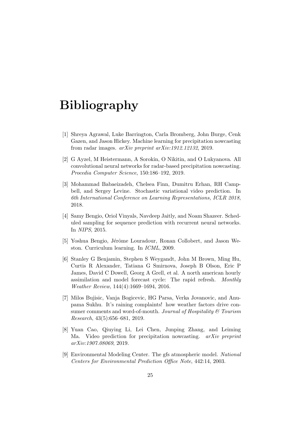# Bibliography

- [1] Shreya Agrawal, Luke Barrington, Carla Bromberg, John Burge, Cenk Gazen, and Jason Hickey. Machine learning for precipitation nowcasting from radar images. arXiv preprint arXiv:1912.12132, 2019.
- [2] G Ayzel, M Heistermann, A Sorokin, O Nikitin, and O Lukyanova. All convolutional neural networks for radar-based precipitation nowcasting. Procedia Computer Science, 150:186–192, 2019.
- [3] Mohammad Babaeizadeh, Chelsea Finn, Dumitru Erhan, RH Campbell, and Sergey Levine. Stochastic variational video prediction. In 6th International Conference on Learning Representations, ICLR 2018, 2018.
- [4] Samy Bengio, Oriol Vinyals, Navdeep Jaitly, and Noam Shazeer. Scheduled sampling for sequence prediction with recurrent neural networks. In NIPS, 2015.
- [5] Yoshua Bengio, Jérôme Louradour, Ronan Collobert, and Jason Weston. Curriculum learning. In ICML, 2009.
- [6] Stanley G Benjamin, Stephen S Weygandt, John M Brown, Ming Hu, Curtis R Alexander, Tatiana G Smirnova, Joseph B Olson, Eric P James, David C Dowell, Georg A Grell, et al. A north american hourly assimilation and model forecast cycle: The rapid refresh. Monthly Weather Review, 144(4):1669–1694, 2016.
- [7] Milos Bujisic, Vanja Bogicevic, HG Parsa, Verka Jovanovic, and Anupama Sukhu. It's raining complaints! how weather factors drive consumer comments and word-of-mouth. Journal of Hospitality  $\mathcal C$  Tourism Research, 43(5):656–681, 2019.
- [8] Yuan Cao, Qiuying Li, Lei Chen, Junping Zhang, and Leiming Ma. Video prediction for precipitation nowcasting. *arXiv preprint* arXiv:1907.08069, 2019.
- [9] Environmental Modeling Center. The gfs atmospheric model. National Centers for Environmental Prediction Office Note, 442:14, 2003.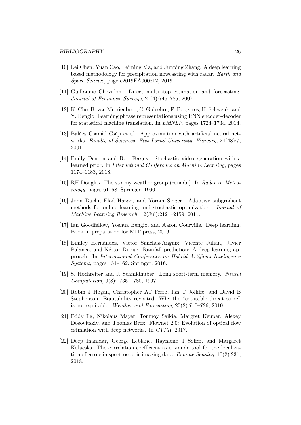- [10] Lei Chen, Yuan Cao, Leiming Ma, and Junping Zhang. A deep learning based methodology for precipitation nowcasting with radar. Earth and Space Science, page e2019EA000812, 2019.
- [11] Guillaume Chevillon. Direct multi-step estimation and forecasting. Journal of Economic Surveys, 21(4):746–785, 2007.
- [12] K. Cho, B. van Merrienboer, C. Gulcehre, F. Bougares, H. Schwenk, and Y. Bengio. Learning phrase representations using RNN encoder-decoder for statistical machine translation. In EMNLP, pages 1724–1734, 2014.
- [13] Balázs Csanád Csáji et al. Approximation with artificial neural networks. Faculty of Sciences, Etvs Lornd University, Hungary, 24(48):7, 2001.
- [14] Emily Denton and Rob Fergus. Stochastic video generation with a learned prior. In International Conference on Machine Learning, pages 1174–1183, 2018.
- [15] RH Douglas. The stormy weather group (canada). In Radar in Meteorology, pages 61–68. Springer, 1990.
- [16] John Duchi, Elad Hazan, and Yoram Singer. Adaptive subgradient methods for online learning and stochastic optimization. Journal of Machine Learning Research, 12(Jul):2121–2159, 2011.
- [17] Ian Goodfellow, Yoshua Bengio, and Aaron Courville. Deep learning. Book in preparation for MIT press, 2016.
- [18] Emilcy Hernández, Victor Sanchez-Anguix, Vicente Julian, Javier Palanca, and Néstor Duque. Rainfall prediction: A deep learning approach. In International Conference on Hybrid Artificial Intelligence Systems, pages 151–162. Springer, 2016.
- [19] S. Hochreiter and J. Schmidhuber. Long short-term memory. Neural Computation, 9(8):1735–1780, 1997.
- [20] Robin J Hogan, Christopher AT Ferro, Ian T Jolliffe, and David B Stephenson. Equitability revisited: Why the "equitable threat score" is not equitable. Weather and Forecasting, 25(2):710–726, 2010.
- [21] Eddy Ilg, Nikolaus Mayer, Tonmoy Saikia, Margret Keuper, Alexey Dosovitskiy, and Thomas Brox. Flownet 2.0: Evolution of optical flow estimation with deep networks. In CVPR, 2017.
- [22] Deep Inamdar, George Leblanc, Raymond J Soffer, and Margaret Kalacska. The correlation coefficient as a simple tool for the localization of errors in spectroscopic imaging data. Remote Sensing, 10(2):231, 2018.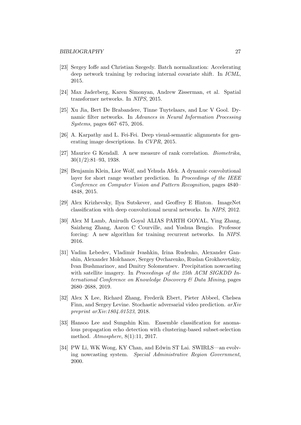- [23] Sergey Ioffe and Christian Szegedy. Batch normalization: Accelerating deep network training by reducing internal covariate shift. In ICML, 2015.
- [24] Max Jaderberg, Karen Simonyan, Andrew Zisserman, et al. Spatial transformer networks. In NIPS, 2015.
- [25] Xu Jia, Bert De Brabandere, Tinne Tuytelaars, and Luc V Gool. Dynamic filter networks. In Advances in Neural Information Processing Systems, pages 667–675, 2016.
- [26] A. Karpathy and L. Fei-Fei. Deep visual-semantic alignments for generating image descriptions. In CVPR, 2015.
- [27] Maurice G Kendall. A new measure of rank correlation. Biometrika, 30(1/2):81–93, 1938.
- [28] Benjamin Klein, Lior Wolf, and Yehuda Afek. A dynamic convolutional layer for short range weather prediction. In *Proceedings of the IEEE* Conference on Computer Vision and Pattern Recognition, pages 4840– 4848, 2015.
- [29] Alex Krizhevsky, Ilya Sutskever, and Geoffrey E Hinton. ImageNet classification with deep convolutional neural networks. In NIPS, 2012.
- [30] Alex M Lamb, Anirudh Goyal ALIAS PARTH GOYAL, Ying Zhang, Saizheng Zhang, Aaron C Courville, and Yoshua Bengio. Professor forcing: A new algorithm for training recurrent networks. In NIPS. 2016.
- [31] Vadim Lebedev, Vladimir Ivashkin, Irina Rudenko, Alexander Ganshin, Alexander Molchanov, Sergey Ovcharenko, Ruslan Grokhovetskiy, Ivan Bushmarinov, and Dmitry Solomentsev. Precipitation nowcasting with satellite imagery. In Proceedings of the 25th ACM SIGKDD International Conference on Knowledge Discovery & Data Mining, pages 2680–2688, 2019.
- [32] Alex X Lee, Richard Zhang, Frederik Ebert, Pieter Abbeel, Chelsea Finn, and Sergey Levine. Stochastic adversarial video prediction. arXiv preprint arXiv:1804.01523, 2018.
- [33] Hansoo Lee and Sungshin Kim. Ensemble classification for anomalous propagation echo detection with clustering-based subset-selection method. Atmosphere, 8(1):11, 2017.
- [34] PW Li, WK Wong, KY Chan, and Edwin ST Lai. SWIRLS—an evolving nowcasting system. Special Administrative Region Government, 2000.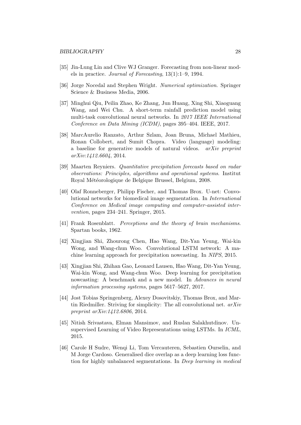- [35] Jin-Lung Lin and Clive WJ Granger. Forecasting from non-linear models in practice. Journal of Forecasting, 13(1):1–9, 1994.
- [36] Jorge Nocedal and Stephen Wright. Numerical optimization. Springer Science & Business Media, 2006.
- [37] Minghui Qiu, Peilin Zhao, Ke Zhang, Jun Huang, Xing Shi, Xiaoguang Wang, and Wei Chu. A short-term rainfall prediction model using multi-task convolutional neural networks. In 2017 IEEE International Conference on Data Mining (ICDM), pages 395–404. IEEE, 2017.
- [38] MarcAurelio Ranzato, Arthur Szlam, Joan Bruna, Michael Mathieu, Ronan Collobert, and Sumit Chopra. Video (language) modeling: a baseline for generative models of natural videos. arXiv preprint arXiv:1412.6604, 2014.
- [39] Maarten Reyniers. Quantitative precipitation forecasts based on radar observations: Principles, algorithms and operational systems. Institut Royal Météorologique de Belgique Brussel, Belgium, 2008.
- [40] Olaf Ronneberger, Philipp Fischer, and Thomas Brox. U-net: Convolutional networks for biomedical image segmentation. In International Conference on Medical image computing and computer-assisted intervention, pages 234–241. Springer, 2015.
- [41] Frank Rosenblatt. *Perceptions and the theory of brain mechanisms*. Spartan books, 1962.
- [42] Xingjian Shi, Zhourong Chen, Hao Wang, Dit-Yan Yeung, Wai-kin Wong, and Wang-chun Woo. Convolutional LSTM network: A machine learning approach for precipitation nowcasting. In NIPS, 2015.
- [43] Xingjian Shi, Zhihan Gao, Leonard Lausen, Hao Wang, Dit-Yan Yeung, Wai-kin Wong, and Wang-chun Woo. Deep learning for precipitation nowcasting: A benchmark and a new model. In Advances in neural information processing systems, pages 5617–5627, 2017.
- [44] Jost Tobias Springenberg, Alexey Dosovitskiy, Thomas Brox, and Martin Riedmiller. Striving for simplicity: The all convolutional net. arXiv preprint arXiv:1412.6806, 2014.
- [45] Nitish Srivastava, Elman Mansimov, and Ruslan Salakhutdinov. Unsupervised Learning of Video Representations using LSTMs. In ICML, 2015.
- [46] Carole H Sudre, Wenqi Li, Tom Vercauteren, Sebastien Ourselin, and M Jorge Cardoso. Generalised dice overlap as a deep learning loss function for highly unbalanced segmentations. In Deep learning in medical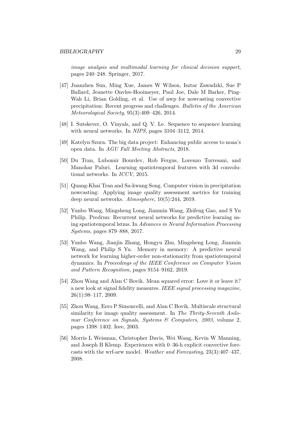image analysis and multimodal learning for clinical decision support, pages 240–248. Springer, 2017.

- [47] Juanzhen Sun, Ming Xue, James W Wilson, Isztar Zawadzki, Sue P Ballard, Jeanette Onvlee-Hooimeyer, Paul Joe, Dale M Barker, Ping-Wah Li, Brian Golding, et al. Use of nwp for nowcasting convective precipitation: Recent progress and challenges. Bulletin of the American Meteorological Society, 95(3):409–426, 2014.
- [48] I. Sutskever, O. Vinyals, and Q. V. Le. Sequence to sequence learning with neural networks. In NIPS, pages 3104–3112, 2014.
- [49] Katelyn Szura. The big data project: Enhancing public access to noaa's open data. In AGU Fall Meeting Abstracts, 2018.
- [50] Du Tran, Lubomir Bourdev, Rob Fergus, Lorenzo Torresani, and Manohar Paluri. Learning spatiotemporal features with 3d convolutional networks. In ICCV, 2015.
- [51] Quang-Khai Tran and Sa-kwang Song. Computer vision in precipitation nowcasting: Applying image quality assessment metrics for training deep neural networks. Atmosphere, 10(5):244, 2019.
- [52] Yunbo Wang, Mingsheng Long, Jianmin Wang, Zhifeng Gao, and S Yu Philip. Predrnn: Recurrent neural networks for predictive learning using spatiotemporal lstms. In Advances in Neural Information Processing Systems, pages 879–888, 2017.
- [53] Yunbo Wang, Jianjin Zhang, Hongyu Zhu, Mingsheng Long, Jianmin Wang, and Philip S Yu. Memory in memory: A predictive neural network for learning higher-order non-stationarity from spatiotemporal dynamics. In Proceedings of the IEEE Conference on Computer Vision and Pattern Recognition, pages 9154–9162, 2019.
- [54] Zhou Wang and Alan C Bovik. Mean squared error: Love it or leave it? a new look at signal fidelity measures. IEEE signal processing magazine, 26(1):98–117, 2009.
- [55] Zhou Wang, Eero P Simoncelli, and Alan C Bovik. Multiscale structural similarity for image quality assessment. In The Thrity-Seventh Asilomar Conference on Signals, Systems & Computers, 2003, volume 2, pages 1398–1402. Ieee, 2003.
- [56] Morris L Weisman, Christopher Davis, Wei Wang, Kevin W Manning, and Joseph B Klemp. Experiences with 0–36-h explicit convective forecasts with the wrf-arw model. Weather and Forecasting, 23(3):407–437, 2008.